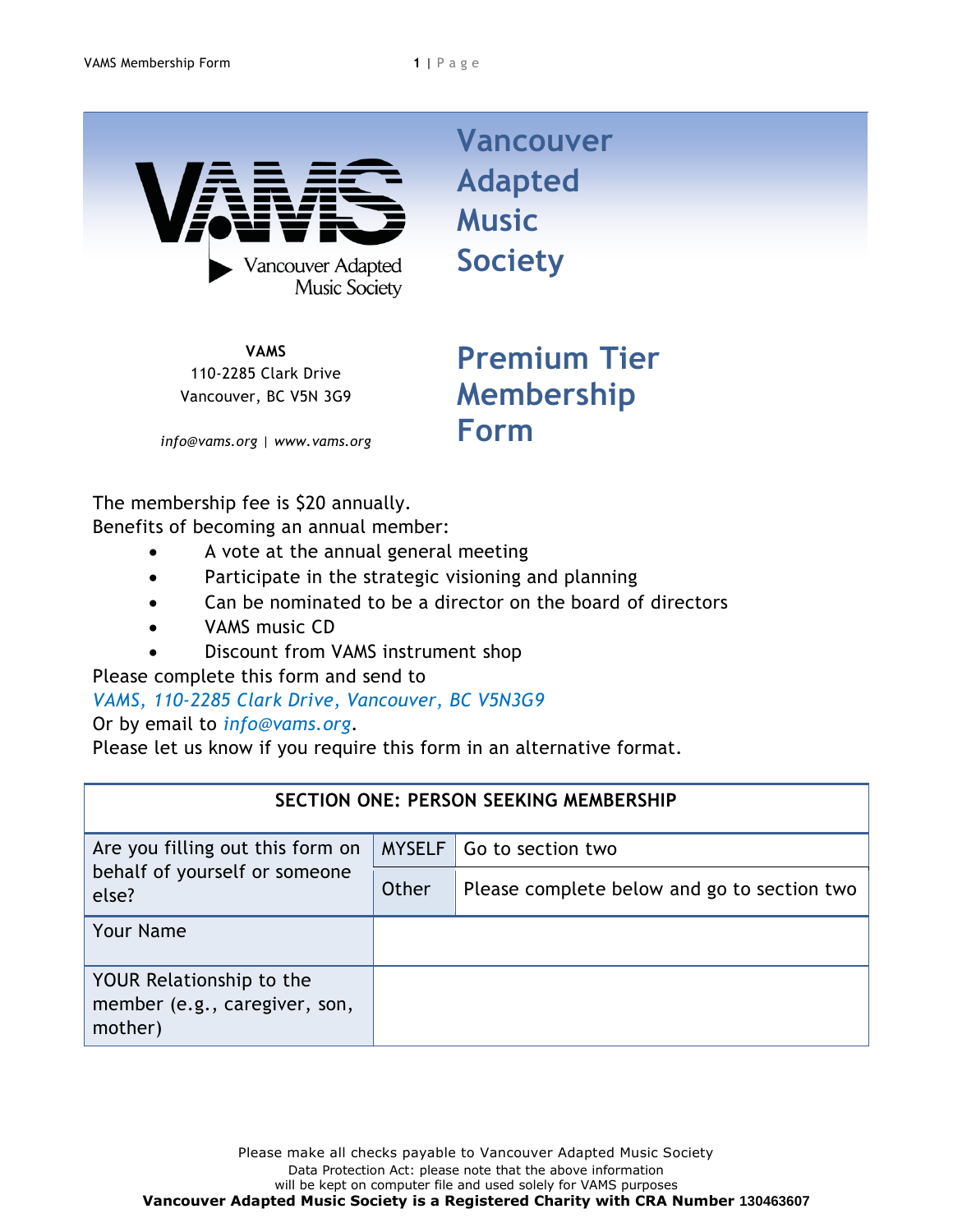

**VAMS** 110-2285 Clark Drive Vancouver, BC V5N 3G9

**Vancouver Adapted Music Society**

**Premium Tier Membership Form**

*info@vams.org | www.vams.org*

The membership fee is \$20 annually. Benefits of becoming an annual member:

- A vote at the annual general meeting
- Participate in the strategic visioning and planning
- Can be nominated to be a director on the board of directors
- VAMS music CD
- Discount from VAMS instrument shop

Please complete this form and send to

## *VAMS, 110-2285 Clark Drive, Vancouver, BC V5N3G9*

Or by email to *info@vams.org*.

Please let us know if you require this form in an alternative format.

| <b>SECTION ONE: PERSON SEEKING MEMBERSHIP</b>                              |               |                                             |  |  |
|----------------------------------------------------------------------------|---------------|---------------------------------------------|--|--|
| Are you filling out this form on<br>behalf of yourself or someone<br>else? | <b>MYSELF</b> | Go to section two                           |  |  |
|                                                                            | Other         | Please complete below and go to section two |  |  |
| <b>Your Name</b>                                                           |               |                                             |  |  |
| YOUR Relationship to the<br>member (e.g., caregiver, son,<br>mother)       |               |                                             |  |  |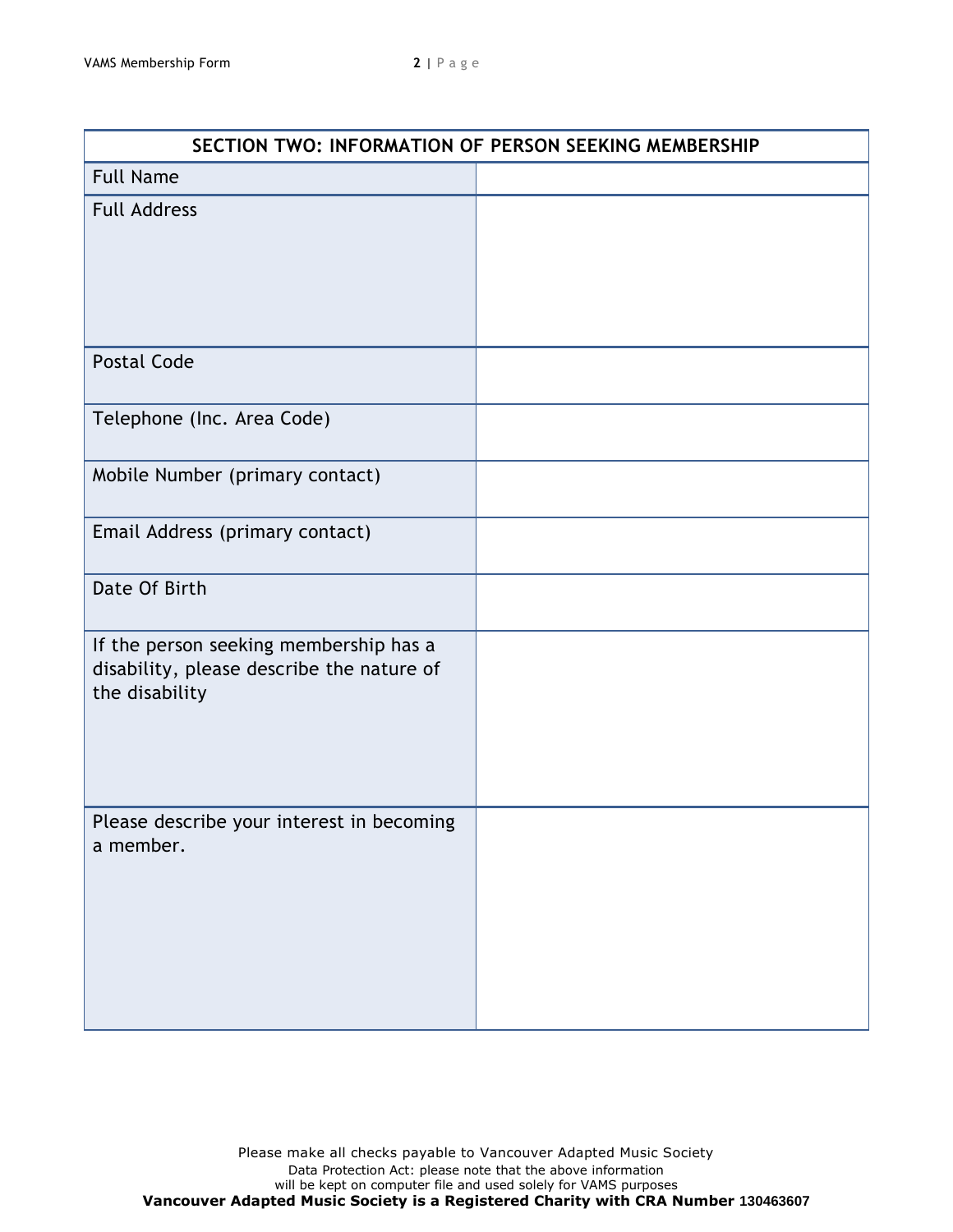| SECTION TWO: INFORMATION OF PERSON SEEKING MEMBERSHIP                                                 |  |  |  |
|-------------------------------------------------------------------------------------------------------|--|--|--|
| <b>Full Name</b>                                                                                      |  |  |  |
| <b>Full Address</b>                                                                                   |  |  |  |
| <b>Postal Code</b>                                                                                    |  |  |  |
| Telephone (Inc. Area Code)                                                                            |  |  |  |
| Mobile Number (primary contact)                                                                       |  |  |  |
| Email Address (primary contact)                                                                       |  |  |  |
| Date Of Birth                                                                                         |  |  |  |
| If the person seeking membership has a<br>disability, please describe the nature of<br>the disability |  |  |  |
| Please describe your interest in becoming<br>a member.                                                |  |  |  |